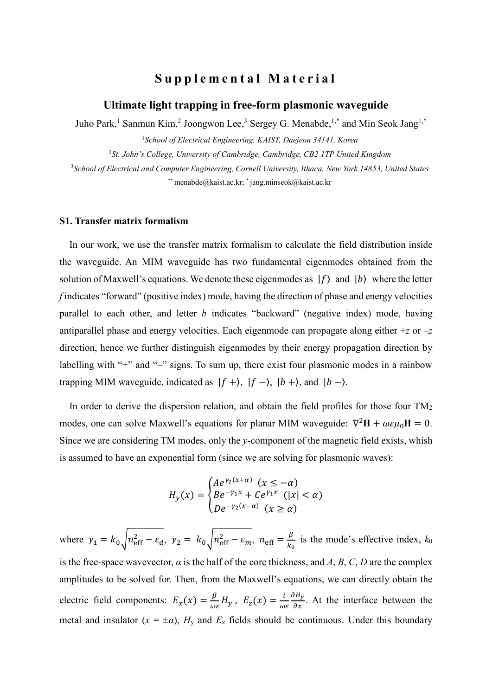# **S u p p l e m e n t a l M a t e r i a l**

# **Ultimate light trapping in free-form plasmonic waveguide**

Juho Park,<sup>1</sup> Sanmun Kim,<sup>2</sup> Joongwon Lee,<sup>3</sup> Sergey G. Menabde,<sup>1,\*</sup> and Min Seok Jang<sup>1,\*</sup>

<sup>1</sup>*School of Electrical Engineering, KAIST, Daejeon 34141, Korea*

<sup>2</sup>*St. John's College, University of Cambridge, Cambridge, CB2 1TP United Kingdom*

<sup>3</sup>*School of Electrical and Computer Engineering, Cornell University, Ithaca, New York 14853, United States* \*\* menabde@kaist.ac.kr; \* jang.minseok@kaist.ac.kr

# **S1. Transfer matrix formalism**

In our work, we use the transfer matrix formalism to calculate the field distribution inside the waveguide. An MIM waveguide has two fundamental eigenmodes obtained from the solution of Maxwell's equations. We denote these eigenmodes as  $|f\rangle$  and  $|b\rangle$  where the letter *f* indicates "forward" (positive index) mode, having the direction of phase and energy velocities parallel to each other, and letter *b* indicates "backward" (negative index) mode, having antiparallel phase and energy velocities. Each eigenmode can propagate along either +*z* or –*z* direction, hence we further distinguish eigenmodes by their energy propagation direction by labelling with "+" and "-" signs. To sum up, there exist four plasmonic modes in a rainbow trapping MIM waveguide, indicated as  $|f + \rangle$ ,  $|f - \rangle$ ,  $|b + \rangle$ , and  $|b - \rangle$ .

In order to derive the dispersion relation, and obtain the field profiles for those four TM<sub>2</sub> modes, one can solve Maxwell's equations for planar MIM waveguide:  $\nabla^2 \mathbf{H} + \omega \varepsilon \mu_0 \mathbf{H} = 0$ . Since we are considering TM modes, only the *y*-component of the magnetic field exists, whish is assumed to have an exponential form (since we are solving for plasmonic waves):

$$
H_y(x) = \begin{cases} Ae^{\gamma_2(x+\alpha)} & (x \le -\alpha) \\ Be^{-\gamma_1 x} + Ce^{\gamma_1 x} & (|x| < \alpha) \\ De^{-\gamma_2(x-\alpha)} & (x \ge \alpha) \end{cases}
$$

where  $\gamma_1 = k_0 \sqrt{n_{\text{eff}}^2 - \varepsilon_d}$ ,  $\gamma_2 = k_0 \sqrt{n_{\text{eff}}^2 - \varepsilon_m}$ ,  $n_{\text{eff}} = \frac{\beta}{k_0}$  $\frac{p}{k_0}$  is the mode's effective index,  $k_0$ is the free-space wavevector,  $\alpha$  is the half of the core thickness, and *A*, *B*, *C*, *D* are the complex amplitudes to be solved for. Then, from the Maxwell's equations, we can directly obtain the electric field components:  $E_x(x) = \frac{\beta}{\omega}$  $\frac{\beta}{\omega \varepsilon} H_y$ ,  $E_z(x) = \frac{i}{\omega}$  $\omega$ ε  $\frac{\partial H_y}{\partial x}$ . At the interface between the metal and insulator  $(x = \pm \alpha)$ ,  $H_v$  and  $E_z$  fields should be continuous. Under this boundary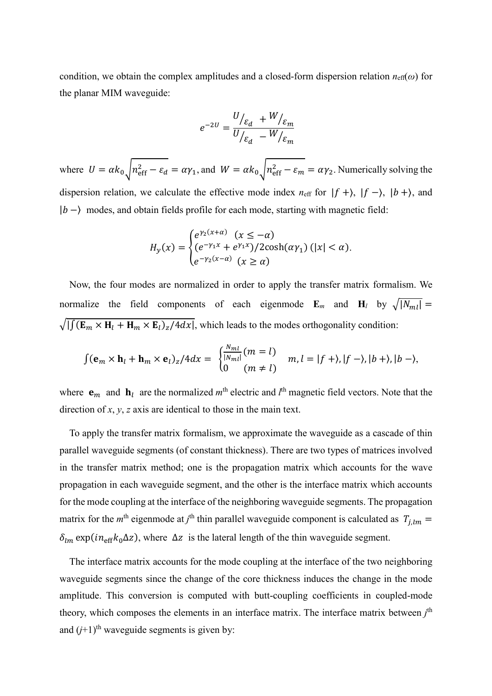condition, we obtain the complex amplitudes and a closed-form dispersion relation  $n_{\text{eff}}(\omega)$  for the planar MIM waveguide:

$$
e^{-2U} = \frac{U_{\xi_d} + W_{\xi_m}}{U_{\xi_d} - W_{\xi_m}}
$$

where  $U = \alpha k_0 \sqrt{n_{\text{eff}}^2 - \varepsilon_d} = \alpha \gamma_1$ , and  $W = \alpha k_0 \sqrt{n_{\text{eff}}^2 - \varepsilon_m} = \alpha \gamma_2$ . Numerically solving the dispersion relation, we calculate the effective mode index  $n_{\text{eff}}$  for  $|f + \rangle$ ,  $|f - \rangle$ ,  $|b + \rangle$ , and  $|b - \rangle$  modes, and obtain fields profile for each mode, starting with magnetic field:

$$
H_y(x) = \begin{cases} e^{\gamma_2(x+\alpha)} & (x \le -\alpha) \\ (e^{-\gamma_1 x} + e^{\gamma_1 x})/2 \cosh(\alpha \gamma_1) & (|x| < \alpha). \\ e^{-\gamma_2(x-\alpha)} & (x \ge \alpha) \end{cases}
$$

Now, the four modes are normalized in order to apply the transfer matrix formalism. We normalize the field components of each eigenmode **E**<sub>*m*</sub> and **H**<sub>*l*</sub> by  $\sqrt{|N_{ml}|}$  =  $\sqrt{| \int (E_m \times H_l + H_m \times E_l)_z / 4} dx |$ , which leads to the modes orthogonality condition:

$$
\int (\mathbf{e}_m \times \mathbf{h}_l + \mathbf{h}_m \times \mathbf{e}_l)_z / 4 dx = \begin{cases} \frac{N_{ml}}{|N_{ml}|} (m = l) \\ 0 \quad (m \neq l) \end{cases} m, l = |f + \rangle, |f - \rangle, |b + \rangle, |b - \rangle,
$$

where  $\mathbf{e}_m$  and  $\mathbf{h}_l$  are the normalized  $m^{\text{th}}$  electric and  $l^{\text{th}}$  magnetic field vectors. Note that the direction of *x*, *y*, *z* axis are identical to those in the main text.

To apply the transfer matrix formalism, we approximate the waveguide as a cascade of thin parallel waveguide segments (of constant thickness). There are two types of matrices involved in the transfer matrix method; one is the propagation matrix which accounts for the wave propagation in each waveguide segment, and the other is the interface matrix which accounts for the mode coupling at the interface of the neighboring waveguide segments. The propagation matrix for the  $m<sup>th</sup>$  eigenmode at *j*<sup>th</sup> thin parallel waveguide component is calculated as  $T_{j,lm}$  =  $\delta_{lm}$  exp( $in_{\text{eff}}k_0\Delta z$ ), where  $\Delta z$  is the lateral length of the thin waveguide segment.

The interface matrix accounts for the mode coupling at the interface of the two neighboring waveguide segments since the change of the core thickness induces the change in the mode amplitude. This conversion is computed with butt-coupling coefficients in coupled-mode theory, which composes the elements in an interface matrix. The interface matrix between *j* th and  $(j+1)$ <sup>th</sup> waveguide segments is given by: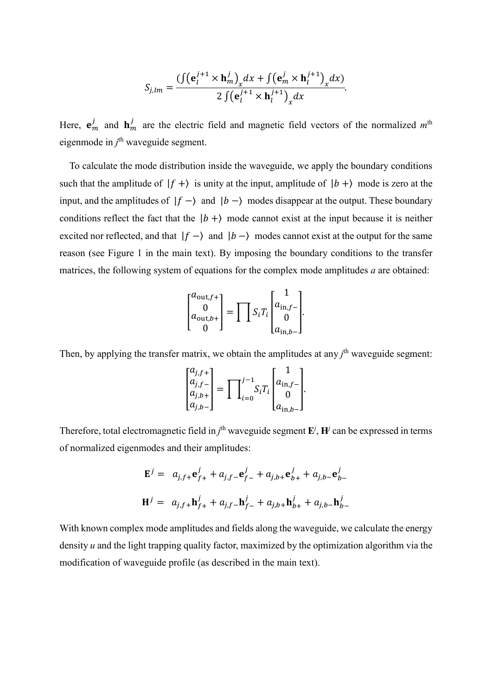$$
S_{j,lm} = \frac{(\int (\mathbf{e}_l^{j+1} \times \mathbf{h}_m^j)_x dx + \int (\mathbf{e}_m^j \times \mathbf{h}_l^{j+1})_x dx)}{2 \int (\mathbf{e}_l^{j+1} \times \mathbf{h}_l^{j+1})_x dx}.
$$

Here,  $\mathbf{e}_m^j$  and  $\mathbf{h}_m^j$  are the electric field and magnetic field vectors of the normalized  $m^{\text{th}}$ eigenmode in *j*<sup>th</sup> waveguide segment.

To calculate the mode distribution inside the waveguide, we apply the boundary conditions such that the amplitude of  $|f + \rangle$  is unity at the input, amplitude of  $|b + \rangle$  mode is zero at the input, and the amplitudes of  $|f - \rangle$  and  $|b - \rangle$  modes disappear at the output. These boundary conditions reflect the fact that the  $|b + \rangle$  mode cannot exist at the input because it is neither excited nor reflected, and that  $|f - \rangle$  and  $|b - \rangle$  modes cannot exist at the output for the same reason (see Figure 1 in the main text). By imposing the boundary conditions to the transfer matrices, the following system of equations for the complex mode amplitudes *a* are obtained:

$$
\begin{bmatrix} a_{\text{out},f+} \\ 0 \\ a_{\text{out},b+} \\ 0 \end{bmatrix} = \prod S_i T_i \begin{bmatrix} 1 \\ a_{\text{in},f-} \\ 0 \\ a_{\text{in},b-} \end{bmatrix}.
$$

Then, by applying the transfer matrix, we obtain the amplitudes at any *j*<sup>th</sup> waveguide segment:

$$
\begin{bmatrix} a_{j,f+} \\ a_{j,f-} \\ a_{j,b+} \\ a_{j,b-} \end{bmatrix} = \prod_{i=0}^{j-1} S_i T_i \begin{bmatrix} 1 \\ a_{\text{in},f-} \\ 0 \\ a_{\text{in},b-} \end{bmatrix}.
$$

Therefore, total electromagnetic field in  $j^{\text{th}}$  waveguide segment  $\mathbf{E}^j$ ,  $\mathbf{H}^j$  can be expressed in terms of normalized eigenmodes and their amplitudes:

$$
\mathbf{E}^{j} = a_{j,f+} \mathbf{e}_{f+}^{j} + a_{j,f-} \mathbf{e}_{f-}^{j} + a_{j,b+} \mathbf{e}_{b+}^{j} + a_{j,b-} \mathbf{e}_{b-}^{j}
$$
  

$$
\mathbf{H}^{j} = a_{j,f+} \mathbf{h}_{f+}^{j} + a_{j,f-} \mathbf{h}_{f-}^{j} + a_{j,b+} \mathbf{h}_{b+}^{j} + a_{j,b-} \mathbf{h}_{b-}^{j}
$$

With known complex mode amplitudes and fields along the waveguide, we calculate the energy density *u* and the light trapping quality factor, maximized by the optimization algorithm via the modification of waveguide profile (as described in the main text).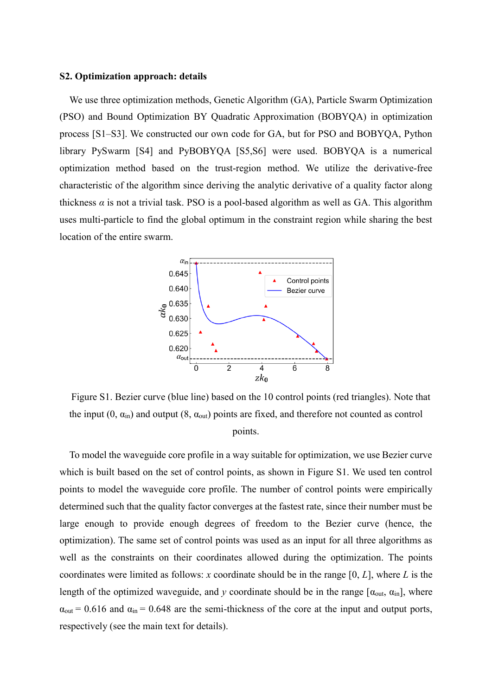# **S2. Optimization approach: details**

We use three optimization methods, Genetic Algorithm (GA), Particle Swarm Optimization (PSO) and Bound Optimization BY Quadratic Approximation (BOBYQA) in optimization process [S1–S3]. We constructed our own code for GA, but for PSO and BOBYQA, Python library PySwarm [S4] and PyBOBYQA [S5,S6] were used. BOBYQA is a numerical optimization method based on the trust-region method. We utilize the derivative-free characteristic of the algorithm since deriving the analytic derivative of a quality factor along thickness  $\alpha$  is not a trivial task. PSO is a pool-based algorithm as well as GA. This algorithm uses multi-particle to find the global optimum in the constraint region while sharing the best location of the entire swarm.



Figure S1. Bezier curve (blue line) based on the 10 control points (red triangles). Note that the input  $(0, \alpha_{\text{in}})$  and output  $(8, \alpha_{\text{out}})$  points are fixed, and therefore not counted as control points.

To model the waveguide core profile in a way suitable for optimization, we use Bezier curve which is built based on the set of control points, as shown in Figure S1. We used ten control points to model the waveguide core profile. The number of control points were empirically determined such that the quality factor converges at the fastest rate, since their number must be large enough to provide enough degrees of freedom to the Bezier curve (hence, the optimization). The same set of control points was used as an input for all three algorithms as well as the constraints on their coordinates allowed during the optimization. The points coordinates were limited as follows: *x* coordinate should be in the range [0, *L*], where *L* is the length of the optimized waveguide, and *y* coordinate should be in the range  $[\alpha_{out}, \alpha_{in}]$ , where  $\alpha_{\text{out}}$  = 0.616 and  $\alpha_{\text{in}}$  = 0.648 are the semi-thickness of the core at the input and output ports, respectively (see the main text for details).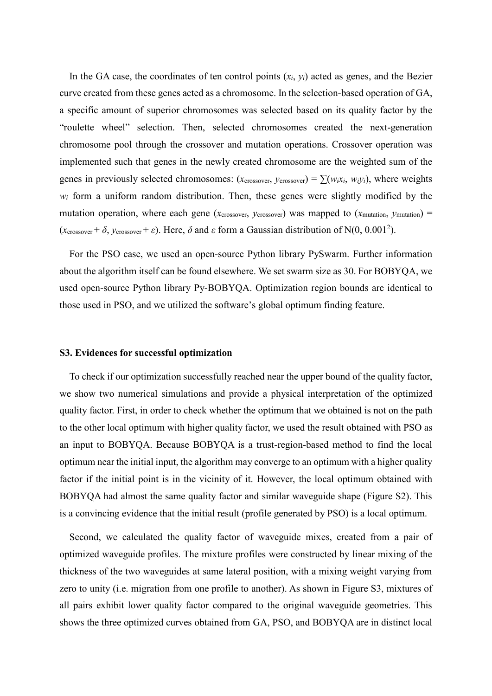In the GA case, the coordinates of ten control points  $(x_i, y_i)$  acted as genes, and the Bezier curve created from these genes acted as a chromosome. In the selection-based operation of GA, a specific amount of superior chromosomes was selected based on its quality factor by the "roulette wheel" selection. Then, selected chromosomes created the next-generation chromosome pool through the crossover and mutation operations. Crossover operation was implemented such that genes in the newly created chromosome are the weighted sum of the genes in previously selected chromosomes: ( $x_{\text{crossover}}$ ,  $y_{\text{crossover}}$ ) =  $\sum (w_i x_i, w_i y_i)$ , where weights  $w_i$  form a uniform random distribution. Then, these genes were slightly modified by the mutation operation, where each gene ( $x_{\text{crossover}}$ ,  $y_{\text{crossover}}$ ) was mapped to ( $x_{\text{mutation}}$ ,  $y_{\text{mutation}}$ ) =  $(x_{\text{crossover}} + \delta, y_{\text{crossover}} + \varepsilon)$ . Here,  $\delta$  and  $\varepsilon$  form a Gaussian distribution of N(0, 0.001<sup>2</sup>).

For the PSO case, we used an open-source Python library PySwarm. Further information about the algorithm itself can be found elsewhere. We set swarm size as 30. For BOBYQA, we used open-source Python library Py-BOBYQA. Optimization region bounds are identical to those used in PSO, and we utilized the software's global optimum finding feature.

### **S3. Evidences for successful optimization**

To check if our optimization successfully reached near the upper bound of the quality factor, we show two numerical simulations and provide a physical interpretation of the optimized quality factor. First, in order to check whether the optimum that we obtained is not on the path to the other local optimum with higher quality factor, we used the result obtained with PSO as an input to BOBYQA. Because BOBYQA is a trust-region-based method to find the local optimum near the initial input, the algorithm may converge to an optimum with a higher quality factor if the initial point is in the vicinity of it. However, the local optimum obtained with BOBYQA had almost the same quality factor and similar waveguide shape (Figure S2). This is a convincing evidence that the initial result (profile generated by PSO) is a local optimum.

Second, we calculated the quality factor of waveguide mixes, created from a pair of optimized waveguide profiles. The mixture profiles were constructed by linear mixing of the thickness of the two waveguides at same lateral position, with a mixing weight varying from zero to unity (i.e. migration from one profile to another). As shown in Figure S3, mixtures of all pairs exhibit lower quality factor compared to the original waveguide geometries. This shows the three optimized curves obtained from GA, PSO, and BOBYQA are in distinct local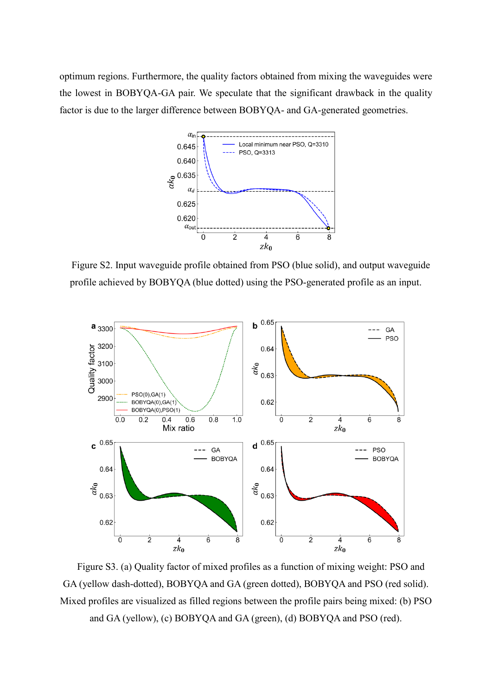optimum regions. Furthermore, the quality factors obtained from mixing the waveguides were the lowest in BOBYQA-GA pair. We speculate that the significant drawback in the quality factor is due to the larger difference between BOBYQA- and GA-generated geometries.



Figure S2. Input waveguide profile obtained from PSO (blue solid), and output waveguide profile achieved by BOBYQA (blue dotted) using the PSO-generated profile as an input.



Figure S3. (a) Quality factor of mixed profiles as a function of mixing weight: PSO and GA (yellow dash-dotted), BOBYQA and GA (green dotted), BOBYQA and PSO (red solid). Mixed profiles are visualized as filled regions between the profile pairs being mixed: (b) PSO and GA (yellow), (c) BOBYQA and GA (green), (d) BOBYQA and PSO (red).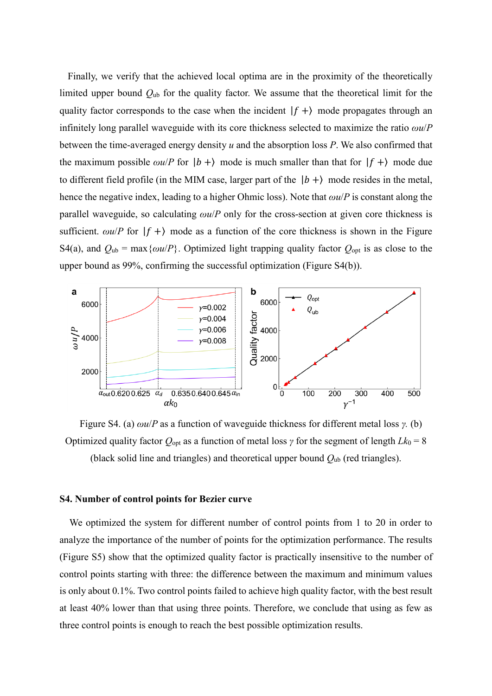Finally, we verify that the achieved local optima are in the proximity of the theoretically limited upper bound *Q*ub for the quality factor. We assume that the theoretical limit for the quality factor corresponds to the case when the incident  $|f + \rangle$  mode propagates through an infinitely long parallel waveguide with its core thickness selected to maximize the ratio *ωu*/*P* between the time-averaged energy density *u* and the absorption loss *P*. We also confirmed that the maximum possible  $\omega u / P$  for  $|b + \rangle$  mode is much smaller than that for  $|f + \rangle$  mode due to different field profile (in the MIM case, larger part of the  $|b + \rangle$  mode resides in the metal, hence the negative index, leading to a higher Ohmic loss). Note that *ωu*/*P* is constant along the parallel waveguide, so calculating *ωu*/*P* only for the cross-section at given core thickness is sufficient.  $\omega u / P$  for  $|f + \rangle$  mode as a function of the core thickness is shown in the Figure S4(a), and  $Q_{ub} = \max{\{\omega u/P\}}$ . Optimized light trapping quality factor  $Q_{opt}$  is as close to the upper bound as 99%, confirming the successful optimization (Figure S4(b)).



Figure S4. (a) *ωu*/*P* as a function of waveguide thickness for different metal loss *γ.* (b) Optimized quality factor  $Q_{opt}$  as a function of metal loss  $\gamma$  for the segment of length  $Lk_0 = 8$ (black solid line and triangles) and theoretical upper bound *Q*ub (red triangles).

#### **S4. Number of control points for Bezier curve**

We optimized the system for different number of control points from 1 to 20 in order to analyze the importance of the number of points for the optimization performance. The results (Figure S5) show that the optimized quality factor is practically insensitive to the number of control points starting with three: the difference between the maximum and minimum values is only about 0.1%. Two control points failed to achieve high quality factor, with the best result at least 40% lower than that using three points. Therefore, we conclude that using as few as three control points is enough to reach the best possible optimization results.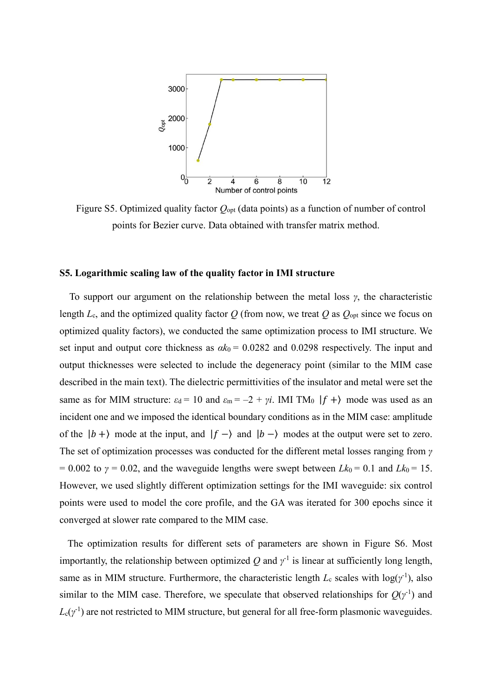

Figure S5. Optimized quality factor *Q*opt (data points) as a function of number of control points for Bezier curve. Data obtained with transfer matrix method.

#### **S5. Logarithmic scaling law of the quality factor in IMI structure**

To support our argument on the relationship between the metal loss *γ*, the characteristic length  $L_c$ , and the optimized quality factor  $Q$  (from now, we treat  $Q$  as  $Q_{opt}$  since we focus on optimized quality factors), we conducted the same optimization process to IMI structure. We set input and output core thickness as  $ak_0 = 0.0282$  and 0.0298 respectively. The input and output thicknesses were selected to include the degeneracy point (similar to the MIM case described in the main text). The dielectric permittivities of the insulator and metal were set the same as for MIM structure:  $\varepsilon_d = 10$  and  $\varepsilon_m = -2 + yi$ . IMI TM<sub>0</sub>  $|f + \rangle$  mode was used as an incident one and we imposed the identical boundary conditions as in the MIM case: amplitude of the  $|b + \rangle$  mode at the input, and  $|f - \rangle$  and  $|b - \rangle$  modes at the output were set to zero. The set of optimization processes was conducted for the different metal losses ranging from *γ*  $= 0.002$  to  $\gamma = 0.02$ , and the waveguide lengths were swept between *Lk*<sub>0</sub> = 0.1 and *Lk*<sub>0</sub> = 15. However, we used slightly different optimization settings for the IMI waveguide: six control points were used to model the core profile, and the GA was iterated for 300 epochs since it converged at slower rate compared to the MIM case.

The optimization results for different sets of parameters are shown in Figure S6. Most importantly, the relationship between optimized  $Q$  and  $\gamma^{-1}$  is linear at sufficiently long length, same as in MIM structure. Furthermore, the characteristic length  $L_c$  scales with  $log(y<sup>-1</sup>)$ , also similar to the MIM case. Therefore, we speculate that observed relationships for  $Q(y^{-1})$  and  $L_c(y<sup>-1</sup>)$  are not restricted to MIM structure, but general for all free-form plasmonic waveguides.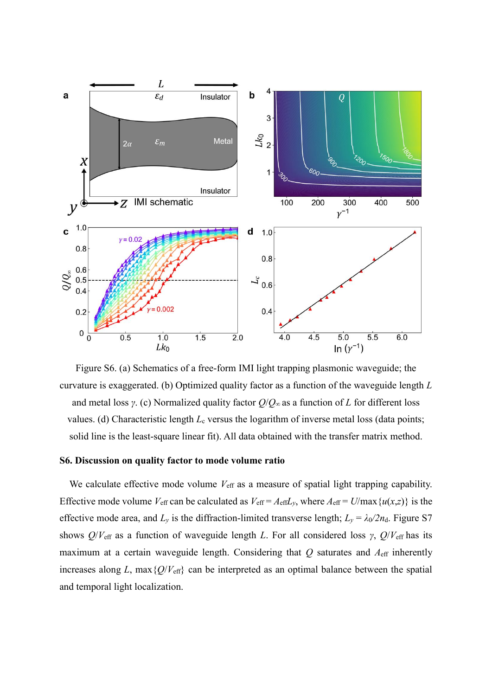

Figure S6. (a) Schematics of a free-form IMI light trapping plasmonic waveguide; the curvature is exaggerated. (b) Optimized quality factor as a function of the waveguide length *L* and metal loss *γ*. (c) Normalized quality factor *Q*/*Q*<sup>∞</sup> as a function of *L* for different loss values. (d) Characteristic length *L*<sub>c</sub> versus the logarithm of inverse metal loss (data points; solid line is the least-square linear fit). All data obtained with the transfer matrix method.

# **S6. Discussion on quality factor to mode volume ratio**

We calculate effective mode volume  $V_{\text{eff}}$  as a measure of spatial light trapping capability. Effective mode volume  $V_{\text{eff}}$  can be calculated as  $V_{\text{eff}} = A_{\text{eff}}L_y$ , where  $A_{\text{eff}} = U/\max\{u(x,z)\}\)$  is the effective mode area, and  $L_y$  is the diffraction-limited transverse length;  $L_y = \lambda_0/2n_d$ . Figure S7 shows *Q*/*V*eff as a function of waveguide length *L*. For all considered loss *γ*, *Q*/*V*eff has its maximum at a certain waveguide length. Considering that  $Q$  saturates and  $A<sub>eff</sub>$  inherently increases along *L*, max ${Q/V_{\text{eff}}}$  can be interpreted as an optimal balance between the spatial and temporal light localization.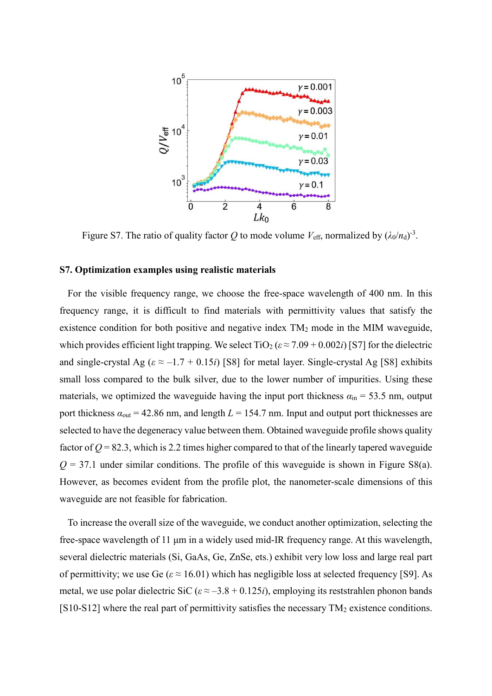

Figure S7. The ratio of quality factor Q to mode volume  $V_{\text{eff}}$ , normalized by  $(\lambda_0/n_d)^{-3}$ .

# **S7. Optimization examples using realistic materials**

For the visible frequency range, we choose the free-space wavelength of 400 nm. In this frequency range, it is difficult to find materials with permittivity values that satisfy the existence condition for both positive and negative index TM<sup>2</sup> mode in the MIM waveguide, which provides efficient light trapping. We select  $\text{TiO}_2$  ( $\varepsilon \approx 7.09 + 0.002i$ ) [S7] for the dielectric and single-crystal Ag ( $\varepsilon \approx -1.7 + 0.15i$ ) [S8] for metal layer. Single-crystal Ag [S8] exhibits small loss compared to the bulk silver, due to the lower number of impurities. Using these materials, we optimized the waveguide having the input port thickness  $a_{in} = 53.5$  nm, output port thickness  $a_{\text{out}} = 42.86$  nm, and length  $L = 154.7$  nm. Input and output port thicknesses are selected to have the degeneracy value between them. Obtained waveguide profile shows quality factor of  $Q = 82.3$ , which is 2.2 times higher compared to that of the linearly tapered waveguide  $Q = 37.1$  under similar conditions. The profile of this waveguide is shown in Figure S8(a). However, as becomes evident from the profile plot, the nanometer-scale dimensions of this waveguide are not feasible for fabrication.

To increase the overall size of the waveguide, we conduct another optimization, selecting the free-space wavelength of 11 μm in a widely used mid-IR frequency range. At this wavelength, several dielectric materials (Si, GaAs, Ge, ZnSe, ets.) exhibit very low loss and large real part of permittivity; we use Ge ( $\varepsilon \approx 16.01$ ) which has negligible loss at selected frequency [S9]. As metal, we use polar dielectric SiC ( $\varepsilon \approx -3.8 + 0.125i$ ), employing its reststrahlen phonon bands [S10-S12] where the real part of permittivity satisfies the necessary  $TM_2$  existence conditions.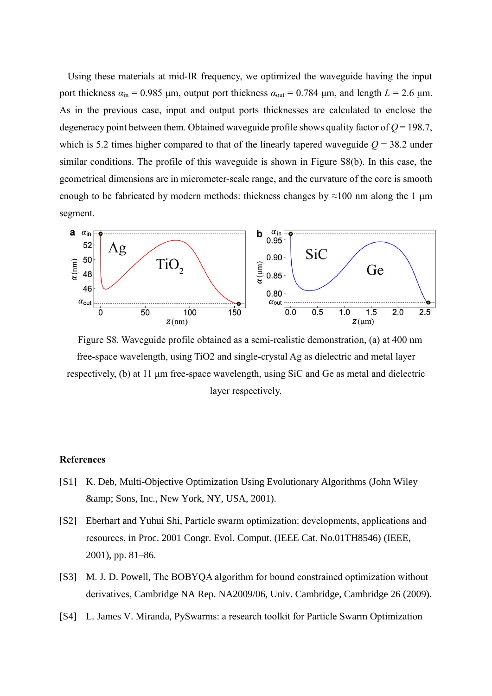Using these materials at mid-IR frequency, we optimized the waveguide having the input port thickness  $a_{in}$  = 0.985 μm, output port thickness  $a_{out}$  = 0.784 μm, and length *L* = 2.6 μm. As in the previous case, input and output ports thicknesses are calculated to enclose the degeneracy point between them. Obtained waveguide profile shows quality factor of *Q* = 198.7, which is 5.2 times higher compared to that of the linearly tapered waveguide  $Q = 38.2$  under similar conditions. The profile of this waveguide is shown in Figure S8(b). In this case, the geometrical dimensions are in micrometer-scale range, and the curvature of the core is smooth enough to be fabricated by modern methods: thickness changes by  $\approx$ 100 nm along the 1 µm segment.



Figure S8. Waveguide profile obtained as a semi-realistic demonstration, (a) at 400 nm free-space wavelength, using TiO2 and single-crystal Ag as dielectric and metal layer respectively, (b) at 11 μm free-space wavelength, using SiC and Ge as metal and dielectric layer respectively.

# **References**

- [S1] K. Deb, Multi-Objective Optimization Using Evolutionary Algorithms (John Wiley & amp; Sons, Inc., New York, NY, USA, 2001).
- [S2] Eberhart and Yuhui Shi, Particle swarm optimization: developments, applications and resources, in Proc. 2001 Congr. Evol. Comput. (IEEE Cat. No.01TH8546) (IEEE, 2001), pp. 81–86.
- [S3] M. J. D. Powell, The BOBYQA algorithm for bound constrained optimization without derivatives, Cambridge NA Rep. NA2009/06, Univ. Cambridge, Cambridge 26 (2009).
- [S4] L. James V. Miranda, PySwarms: a research toolkit for Particle Swarm Optimization